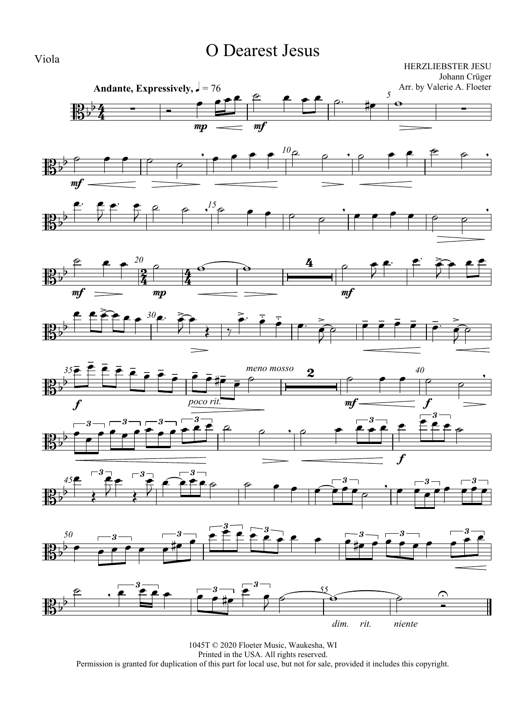## O Dearest Jesus

HERZLIEBSTER JESU Johann Crüger



1045T © 2020 Floeter Music, Waukesha, WI Printed in the USA. All rights reserved. Permission is granted for duplication of this part for local use, but not for sale, provided it includes this copyright.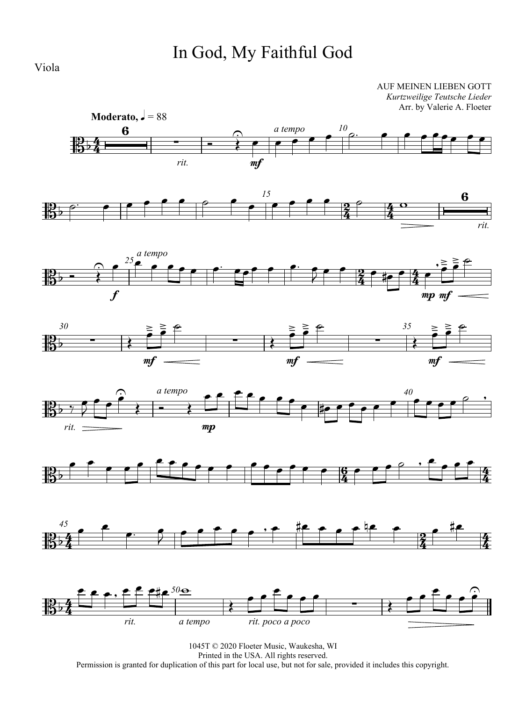# In God, My Faithful God

Viola

AUF MEINEN LIEBEN GOTT *Kurtzweilige Teutsche Lieder* Arr. by Valerie A. Floeter

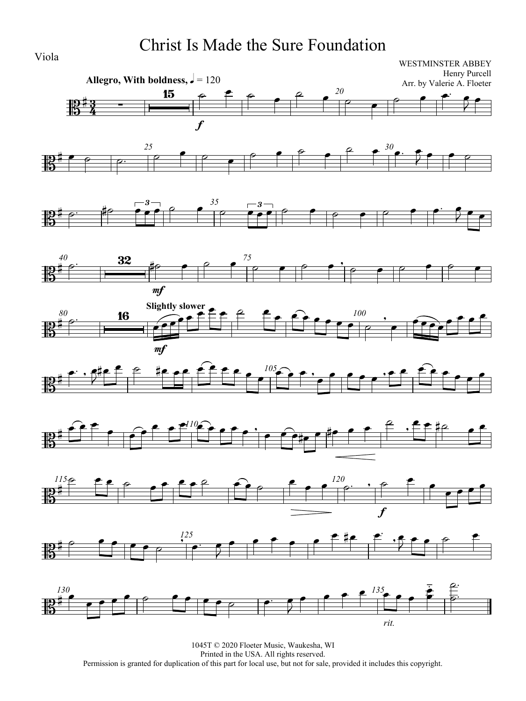## Christ Is Made the Sure Foundation

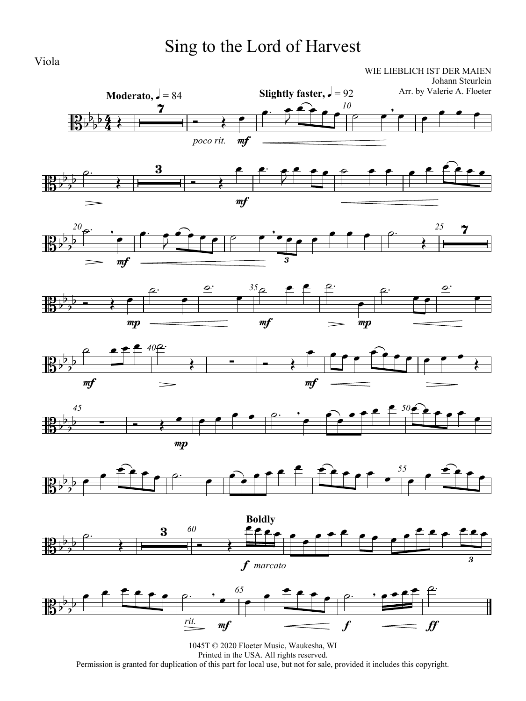# Sing to the Lord of Harvest

WIE LIEBLICH IST DER MAIEN Johann Steurlein



















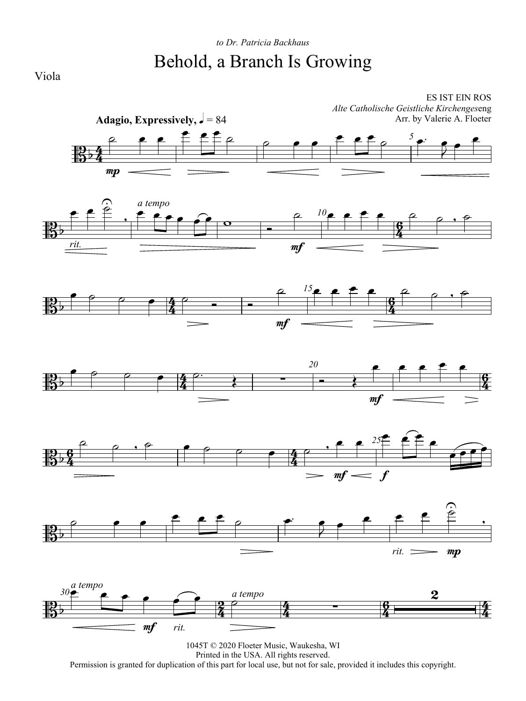



Printed in the USA. All rights reserved.

Permission is granted for duplication of this part for local use, but not for sale, provided it includes this copyright.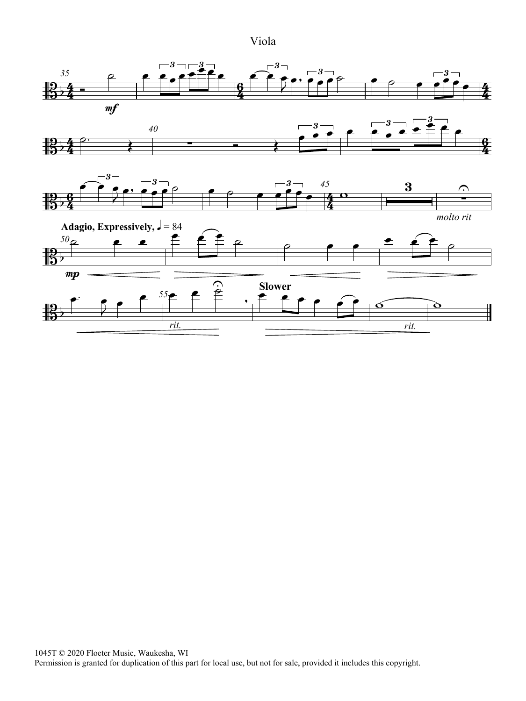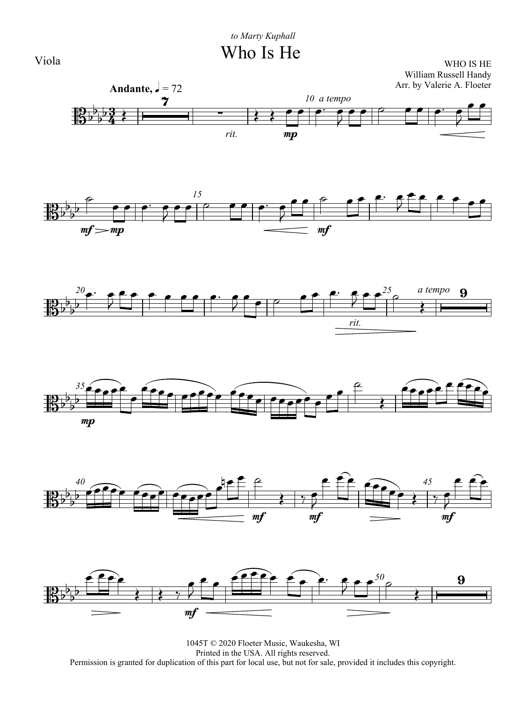

 $\frac{1}{10}$  $\frac{1}{2}$ 

╫

將

 $\frac{1}{4}$ 

 $\frac{10}{10}$ 

 $\frac{1}{2}$ 

 $\frac{1}{2}$ 

 $\frac{1}{2}$ 

 $\frac{1}{2}$ 



1045T © 2020 Floeter Music, Waukesha, WI Printed in the USA. All rights reserved. Permission is granted for duplication of this part for local use, but not for sale, provided it includes this copyright.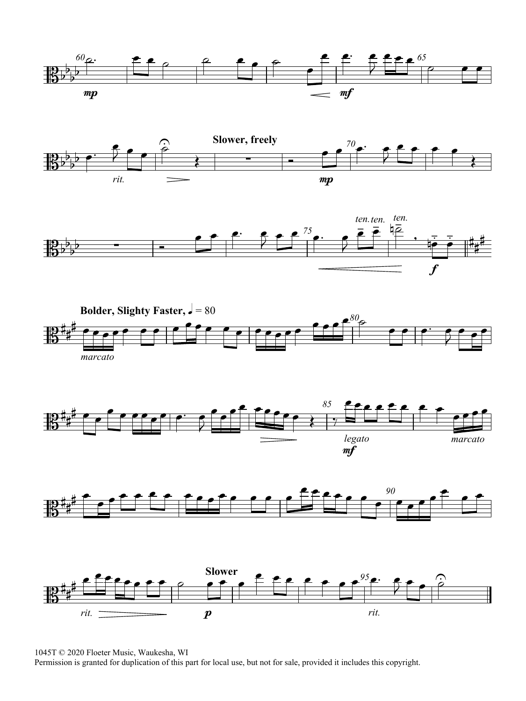













1045T © 2020 Floeter Music, Waukesha, WI

Permission is granted for duplication of this part for local use, but not for sale, provided it includes this copyright.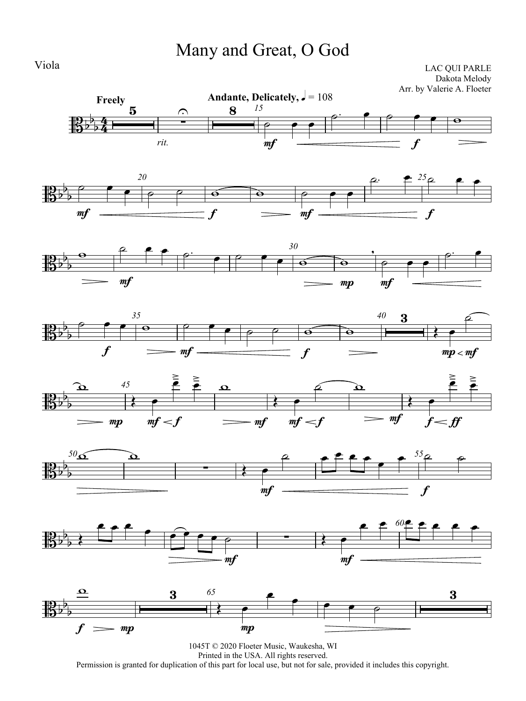## Many and Great, O God

LAC QUI PARLE Dakota Melody Arr. by Valerie A. Floeter

















1045T © 2020 Floeter Music, Waukesha, WI Printed in the USA. All rights reserved. Permission is granted for duplication of this part for local use, but not for sale, provided it includes this copyright.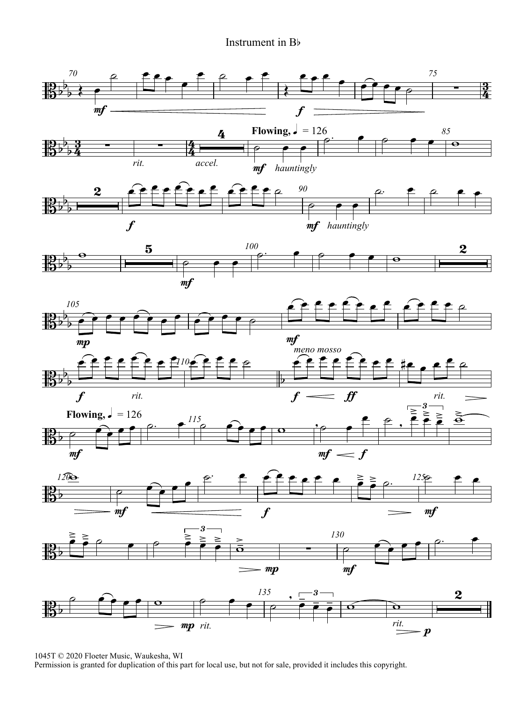#### Instrument in Bb



1045T © 2020 Floeter Music, Waukesha, WI

Permission is granted for duplication of this part for local use, but not for sale, provided it includes this copyright.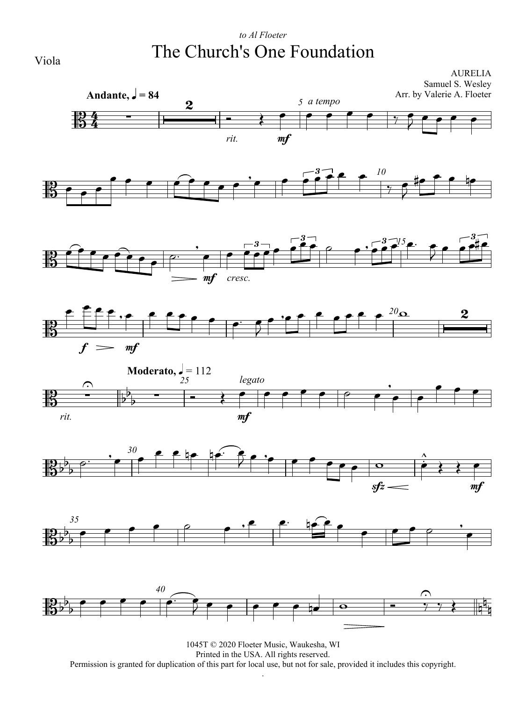### *to Al Floeter* The Church's One Foundation

AURELIA Samuel S. Wesley Arr. by Valerie A. Floeter

















1045T © 2020 Floeter Music, Waukesha, WI Printed in the USA. All rights reserved. Permission is granted for duplication of this part for local use, but not for sale, provided it includes this copyright. .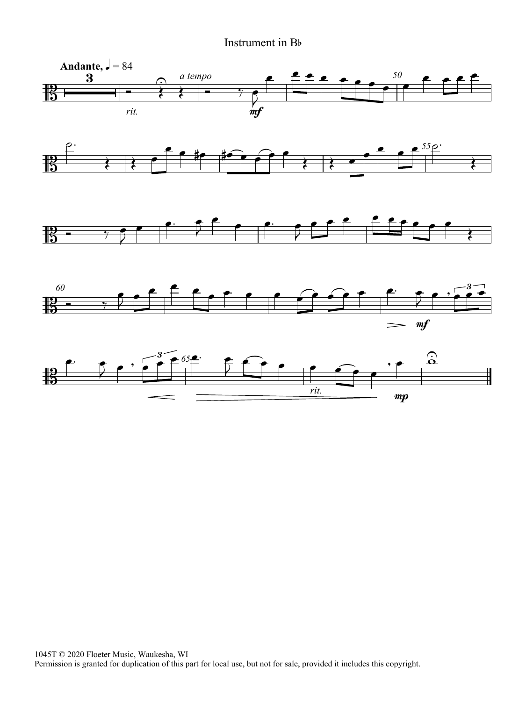#### Instrument in Bb